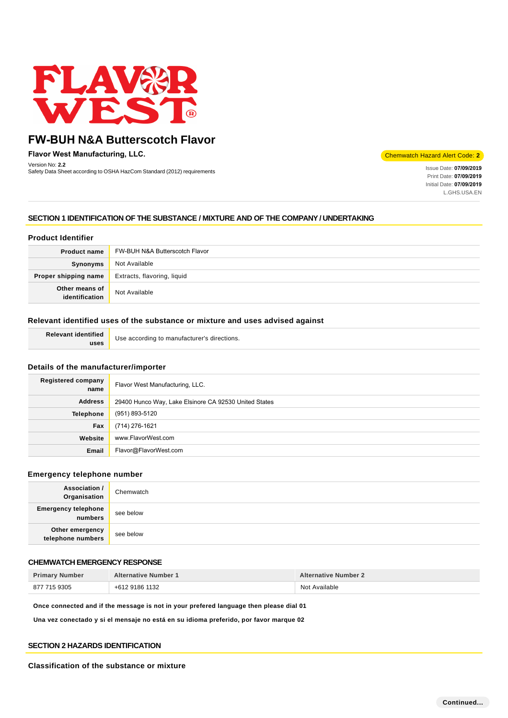

**Flavor West Manufacturing, LLC.**

Version No: **2.2** Safety Data Sheet according to OSHA HazCom Standard (2012) requirements Inc. **Inc. 1999, 2012** Issue Date: **07/09/2019**<br>Safety Data Sheet according to OSHA HazCom Standard (2012) requirements

Chemwatch Hazard Alert Code: **2**

Print Date: **07/09/2019**  Initial Date: **07/09/2019**  L.GHS.USA.EN

# **SECTION 1 IDENTIFICATION OF THE SUBSTANCE / MIXTURE AND OF THE COMPANY / UNDERTAKING**

## **Product Identifier**

| <b>Product name</b>              | FW-BUH N&A Butterscotch Flavor |
|----------------------------------|--------------------------------|
| Synonyms                         | Not Available                  |
| Proper shipping name             | Extracts, flavoring, liquid    |
| Other means of<br>identification | Not Available                  |

# **Relevant identified uses of the substance or mixture and uses advised against**

**Relevant identified uses**

Use according to manufacturer's directions.

### **Details of the manufacturer/importer**

| Registered company<br>name | Flavor West Manufacturing, LLC.                       |
|----------------------------|-------------------------------------------------------|
| <b>Address</b>             | 29400 Hunco Way, Lake Elsinore CA 92530 United States |
| <b>Telephone</b>           | (951) 893-5120                                        |
| Fax                        | (714) 276-1621                                        |
| Website                    | www.FlavorWest.com                                    |
| Email                      | Flavor@FlavorWest.com                                 |

## **Emergency telephone number**

| Association /<br>Organisation         | Chemwatch |
|---------------------------------------|-----------|
| <b>Emergency telephone</b><br>numbers | see below |
| Other emergency<br>telephone numbers  | see below |

#### **CHEMWATCH EMERGENCY RESPONSE**

| <b>Primary Number</b> | <b>Alternative Number 1</b> | <b>Alternative Number 2</b> |
|-----------------------|-----------------------------|-----------------------------|
| 877 715 9305          | +612 9186 1132              | Not Available               |

**Once connected and if the message is not in your prefered language then please dial 01**

**Una vez conectado y si el mensaje no está en su idioma preferido, por favor marque 02**

### **SECTION 2 HAZARDS IDENTIFICATION**

**Classification of the substance or mixture**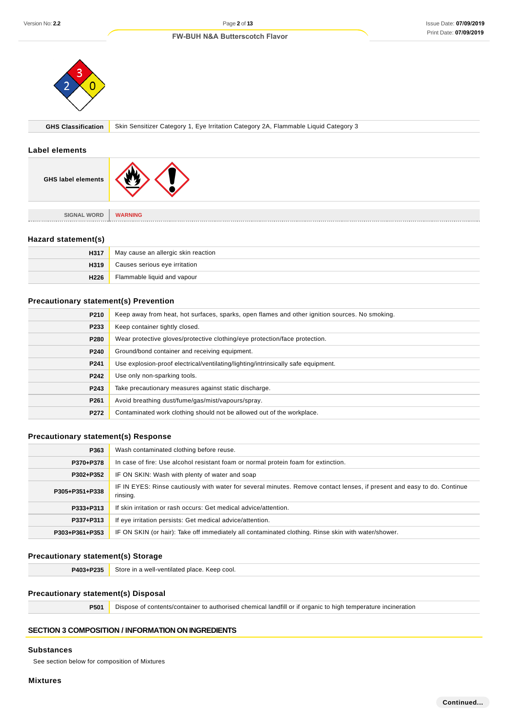

**GHS Classification** Skin Sensitizer Category 1, Eye Irritation Category 2A, Flammable Liquid Category 3

#### **Label elements**

| <b>GHS label elements</b> |                |
|---------------------------|----------------|
| <b>SIGNAL WORD</b>        | <b>WARNING</b> |

#### **Hazard statement(s)**

| H317 | May cause an allergic skin reaction |
|------|-------------------------------------|
| H319 | Causes serious eye irritation       |
| H226 | Flammable liquid and vapour         |

# **Precautionary statement(s) Prevention**

| P210 | Keep away from heat, hot surfaces, sparks, open flames and other ignition sources. No smoking. |
|------|------------------------------------------------------------------------------------------------|
| P233 | Keep container tightly closed.                                                                 |
| P280 | Wear protective gloves/protective clothing/eye protection/face protection.                     |
| P240 | Ground/bond container and receiving equipment.                                                 |
| P241 | Use explosion-proof electrical/ventilating/lighting/intrinsically safe equipment.              |
| P242 | Use only non-sparking tools.                                                                   |
| P243 | Take precautionary measures against static discharge.                                          |
| P261 | Avoid breathing dust/fume/gas/mist/vapours/spray.                                              |
| P272 | Contaminated work clothing should not be allowed out of the workplace.                         |

# **Precautionary statement(s) Response**

| P363           | Wash contaminated clothing before reuse.                                                                                            |
|----------------|-------------------------------------------------------------------------------------------------------------------------------------|
| P370+P378      | In case of fire: Use alcohol resistant foam or normal protein foam for extinction.                                                  |
| P302+P352      | IF ON SKIN: Wash with plenty of water and soap                                                                                      |
| P305+P351+P338 | IF IN EYES: Rinse cautiously with water for several minutes. Remove contact lenses, if present and easy to do. Continue<br>rinsing. |
| P333+P313      | If skin irritation or rash occurs: Get medical advice/attention.                                                                    |
| P337+P313      | If eye irritation persists: Get medical advice/attention.                                                                           |
| P303+P361+P353 | IF ON SKIN (or hair): Take off immediately all contaminated clothing. Rinse skin with water/shower.                                 |

# **Precautionary statement(s) Storage**

**P403+P235** Store in a well-ventilated place. Keep cool.

# **Precautionary statement(s) Disposal**

**P501** Dispose of contents/container to authorised chemical landfill or if organic to high temperature incineration

# **SECTION 3 COMPOSITION / INFORMATION ON INGREDIENTS**

#### **Substances**

See section below for composition of Mixtures

## **Mixtures**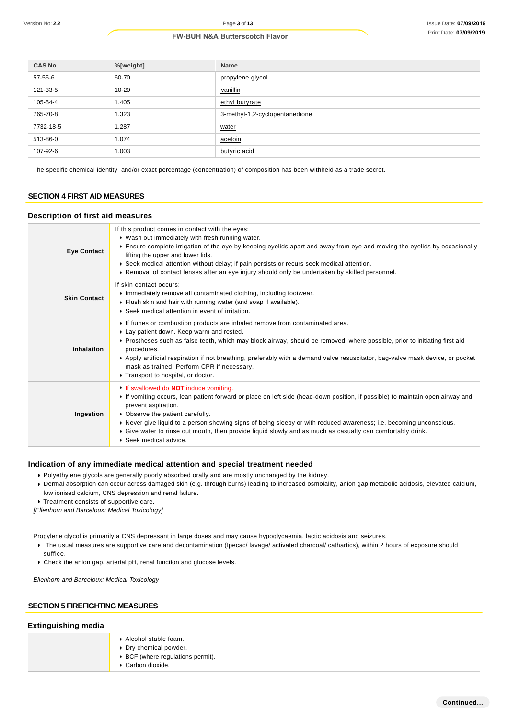| <b>CAS No</b> | %[weight] | <b>Name</b>                    |
|---------------|-----------|--------------------------------|
| 57-55-6       | 60-70     | propylene glycol               |
| 121-33-5      | $10 - 20$ | vanillin                       |
| 105-54-4      | 1.405     | ethyl butyrate                 |
| 765-70-8      | 1.323     | 3-methyl-1,2-cyclopentanedione |
| 7732-18-5     | 1.287     | water                          |
| 513-86-0      | 1.074     | acetoin                        |
| 107-92-6      | 1.003     | butyric acid                   |

The specific chemical identity and/or exact percentage (concentration) of composition has been withheld as a trade secret.

# **SECTION 4 FIRST AID MEASURES**

#### **Description of first aid measures**

| <b>Eye Contact</b>  | If this product comes in contact with the eyes:<br>▶ Wash out immediately with fresh running water.<br>Ensure complete irrigation of the eye by keeping eyelids apart and away from eye and moving the eyelids by occasionally<br>lifting the upper and lower lids.<br>▶ Seek medical attention without delay; if pain persists or recurs seek medical attention.<br>► Removal of contact lenses after an eye injury should only be undertaken by skilled personnel.                                |
|---------------------|-----------------------------------------------------------------------------------------------------------------------------------------------------------------------------------------------------------------------------------------------------------------------------------------------------------------------------------------------------------------------------------------------------------------------------------------------------------------------------------------------------|
| <b>Skin Contact</b> | If skin contact occurs:<br>Inmediately remove all contaminated clothing, including footwear.<br>Flush skin and hair with running water (and soap if available).<br>▶ Seek medical attention in event of irritation.                                                                                                                                                                                                                                                                                 |
| Inhalation          | If fumes or combustion products are inhaled remove from contaminated area.<br>Lay patient down. Keep warm and rested.<br>▶ Prostheses such as false teeth, which may block airway, should be removed, where possible, prior to initiating first aid<br>procedures.<br>▶ Apply artificial respiration if not breathing, preferably with a demand valve resuscitator, bag-valve mask device, or pocket<br>mask as trained. Perform CPR if necessary.<br>Transport to hospital, or doctor.             |
| Ingestion           | If swallowed do <b>NOT</b> induce vomiting.<br>If vomiting occurs, lean patient forward or place on left side (head-down position, if possible) to maintain open airway and<br>prevent aspiration.<br>• Observe the patient carefully.<br>▶ Never give liquid to a person showing signs of being sleepy or with reduced awareness; i.e. becoming unconscious.<br>Give water to rinse out mouth, then provide liquid slowly and as much as casualty can comfortably drink.<br>▶ Seek medical advice. |

#### **Indication of any immediate medical attention and special treatment needed**

- Polyethylene glycols are generally poorly absorbed orally and are mostly unchanged by the kidney.
- Dermal absorption can occur across damaged skin (e.g. through burns) leading to increased osmolality, anion gap metabolic acidosis, elevated calcium, low ionised calcium, CNS depression and renal failure.
- **Treatment consists of supportive care.**

[Ellenhorn and Barceloux: Medical Toxicology]

Propylene glycol is primarily a CNS depressant in large doses and may cause hypoglycaemia, lactic acidosis and seizures.

- ▶ The usual measures are supportive care and decontamination (Ipecac/ lavage/ activated charcoal/ cathartics), within 2 hours of exposure should suffice.
- Check the anion gap, arterial pH, renal function and glucose levels.

Ellenhorn and Barceloux: Medical Toxicology

# **SECTION 5 FIREFIGHTING MEASURES**

# **Extinguishing media**

| Alcohol stable foam.<br>▶ Dry chemical powder.   |
|--------------------------------------------------|
| $\triangleright$ BCF (where regulations permit). |
| Carbon dioxide.                                  |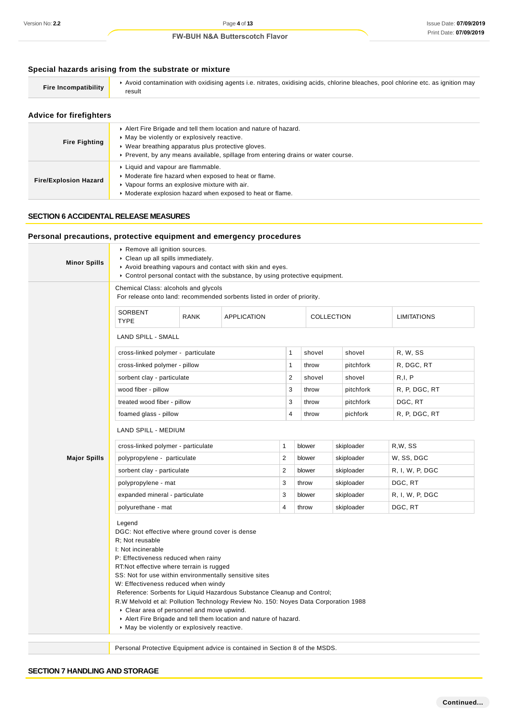# **Special hazards arising from the substrate or mixture**

| <b>Fire Incompatibility</b> | Avoid contamination with oxidising agents i.e. nitrates, oxidising acids, chlorine bleaches, pool chlorine etc. as ignition may<br>result |
|-----------------------------|-------------------------------------------------------------------------------------------------------------------------------------------|
| Advice for firefighters     |                                                                                                                                           |

| <b>AUTIOUTUL INCHANGES</b>   |                                                                                                                                                                                                                                                           |  |
|------------------------------|-----------------------------------------------------------------------------------------------------------------------------------------------------------------------------------------------------------------------------------------------------------|--|
| <b>Fire Fighting</b>         | Alert Fire Brigade and tell them location and nature of hazard.<br>• May be violently or explosively reactive.<br>• Wear breathing apparatus plus protective gloves.<br>▶ Prevent, by any means available, spillage from entering drains or water course. |  |
| <b>Fire/Explosion Hazard</b> | • Liquid and vapour are flammable.<br>• Moderate fire hazard when exposed to heat or flame.<br>• Vapour forms an explosive mixture with air.<br>• Moderate explosion hazard when exposed to heat or flame.                                                |  |

#### **SECTION 6 ACCIDENTAL RELEASE MEASURES**

# **Personal precautions, protective equipment and emergency procedures Minor Spills** ▶ Remove all ignition sources. Clean up all spills immediately. Avoid breathing vapours and contact with skin and eyes. Control personal contact with the substance, by using protective equipment. **Major Spills** Chemical Class: alcohols and glycols For release onto land: recommended sorbents listed in order of priority. **SORRENT** TYPE RANK APPLICATION COLLECTION LIMITATIONS LAND SPILL - SMALL cross-linked polymer - particulate 1 shovel shovel R, W, SS cross-linked polymer - pillow 1 throw pitchfork R, DGC, RT sorbent clay - particulate 2 shovel shovel R,I, P wood fiber - pillow 3 throw pitchfork R, P, DGC, RT treated wood fiber - pillow 3 throw pitchfork DGC, RT foamed glass - pillow **4** throw pichfork R, P, DGC, RT LAND SPILL - MEDIUM cross-linked polymer - particulate 1 blower skiploader R,W, SS polypropylene - particulate  $2$  blower skiploader W, SS, DGC sorbent clay - particulate 2 blower skiploader R, I, W, P, DGC polypropylene - mat 3 throw skiploader DGC, RT expanded mineral - particulate  $\begin{vmatrix} 3 & \text{blower} \\ 3 & \text{blower} \end{vmatrix}$  skiploader R, I, W, P, DGC polyurethane - mat **4 throw** skiploader DGC, RT Legend DGC: Not effective where ground cover is dense R; Not reusable I: Not incinerable P: Effectiveness reduced when rainy RT:Not effective where terrain is rugged SS: Not for use within environmentally sensitive sites W: Effectiveness reduced when windy Reference: Sorbents for Liquid Hazardous Substance Cleanup and Control; R.W Melvold et al: Pollution Technology Review No. 150: Noyes Data Corporation 1988 Clear area of personnel and move upwind.

- Alert Fire Brigade and tell them location and nature of hazard.
- May be violently or explosively reactive.

Personal Protective Equipment advice is contained in Section 8 of the MSDS.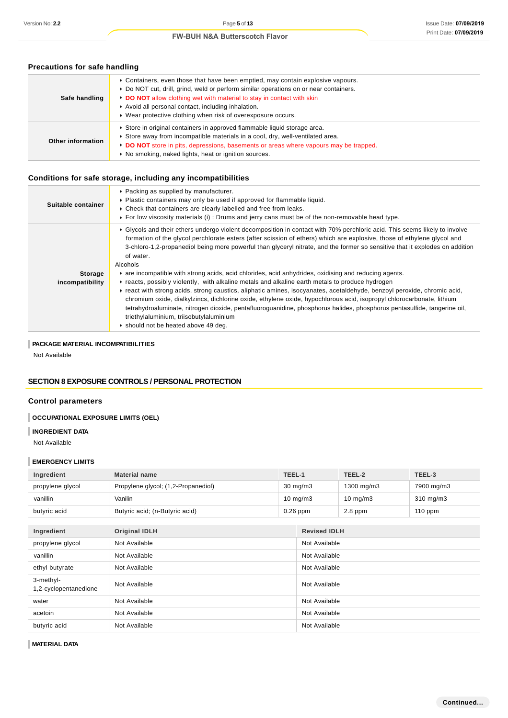| <b>FIGUALIONS IOI SAIG HANGHING</b> |                                                                                                                                                                                                                                                                                                                                                                         |  |
|-------------------------------------|-------------------------------------------------------------------------------------------------------------------------------------------------------------------------------------------------------------------------------------------------------------------------------------------------------------------------------------------------------------------------|--|
| Safe handling                       | ► Containers, even those that have been emptied, may contain explosive vapours.<br>▶ Do NOT cut, drill, grind, weld or perform similar operations on or near containers.<br>• DO NOT allow clothing wet with material to stay in contact with skin<br>Avoid all personal contact, including inhalation.<br>▶ Wear protective clothing when risk of overexposure occurs. |  |
| Other information                   | Store in original containers in approved flammable liquid storage area.<br>Store away from incompatible materials in a cool, dry, well-ventilated area.<br>DO NOT store in pits, depressions, basements or areas where vapours may be trapped.<br>• No smoking, naked lights, heat or ignition sources.                                                                 |  |

# **Precautions for safe handling**

# **Conditions for safe storage, including any incompatibilities**

| Suitable container | ▶ Packing as supplied by manufacturer.<br>Plastic containers may only be used if approved for flammable liquid.<br>• Check that containers are clearly labelled and free from leaks.<br>For low viscosity materials (i): Drums and jerry cans must be of the non-removable head type.                                                                                                                                                                           |
|--------------------|-----------------------------------------------------------------------------------------------------------------------------------------------------------------------------------------------------------------------------------------------------------------------------------------------------------------------------------------------------------------------------------------------------------------------------------------------------------------|
|                    | ► Glycols and their ethers undergo violent decomposition in contact with 70% perchloric acid. This seems likely to involve<br>formation of the glycol perchlorate esters (after scission of ethers) which are explosive, those of ethylene glycol and<br>3-chloro-1,2-propanediol being more powerful than glyceryl nitrate, and the former so sensitive that it explodes on addition<br>of water.<br>Alcohols                                                  |
| <b>Storage</b>     | • are incompatible with strong acids, acid chlorides, acid anhydrides, oxidising and reducing agents.                                                                                                                                                                                                                                                                                                                                                           |
| incompatibility    | Freacts, possibly violently, with alkaline metals and alkaline earth metals to produce hydrogen                                                                                                                                                                                                                                                                                                                                                                 |
|                    | Freact with strong acids, strong caustics, aliphatic amines, isocyanates, acetaldehyde, benzoyl peroxide, chromic acid,<br>chromium oxide, dialkylzincs, dichlorine oxide, ethylene oxide, hypochlorous acid, isopropyl chlorocarbonate, lithium<br>tetrahydroaluminate, nitrogen dioxide, pentafluoroguanidine, phosphorus halides, phosphorus pentasulfide, tangerine oil,<br>triethylaluminium, triisobutylaluminium<br>▶ should not be heated above 49 deg. |

## **PACKAGE MATERIAL INCOMPATIBILITIES**

Not Available

# **SECTION 8 EXPOSURE CONTROLS / PERSONAL PROTECTION**

# **Control parameters**

# **OCCUPATIONAL EXPOSURE LIMITS (OEL)**

# **INGREDIENT DATA**

Not Available

### **EMERGENCY LIMITS**

| Ingredient                         | <b>Material name</b>                | TEEL-1            |                     | TEEL-2            | TEEL-3     |
|------------------------------------|-------------------------------------|-------------------|---------------------|-------------------|------------|
| propylene glycol                   | Propylene glycol; (1,2-Propanediol) | $30 \text{ mg/m}$ |                     | 1300 mg/m3        | 7900 mg/m3 |
| vanillin                           | Vanilin                             |                   | $10 \text{ mg/m}$ 3 | $10 \text{ mg/m}$ | 310 mg/m3  |
| butyric acid                       | Butyric acid; (n-Butyric acid)      |                   | $0.26$ ppm          | $2.8$ ppm         | $110$ ppm  |
|                                    |                                     |                   |                     |                   |            |
| Ingredient                         | <b>Original IDLH</b>                |                   | <b>Revised IDLH</b> |                   |            |
| propylene glycol                   | Not Available                       |                   | Not Available       |                   |            |
| vanillin                           | Not Available                       |                   | Not Available       |                   |            |
| ethyl butyrate                     | Not Available                       |                   | Not Available       |                   |            |
| 3-methyl-<br>1,2-cyclopentanedione | Not Available                       |                   | Not Available       |                   |            |
| water                              | Not Available                       |                   | Not Available       |                   |            |
| acetoin                            | Not Available                       |                   | Not Available       |                   |            |
| butyric acid                       | Not Available                       |                   | Not Available       |                   |            |

**MATERIAL DATA**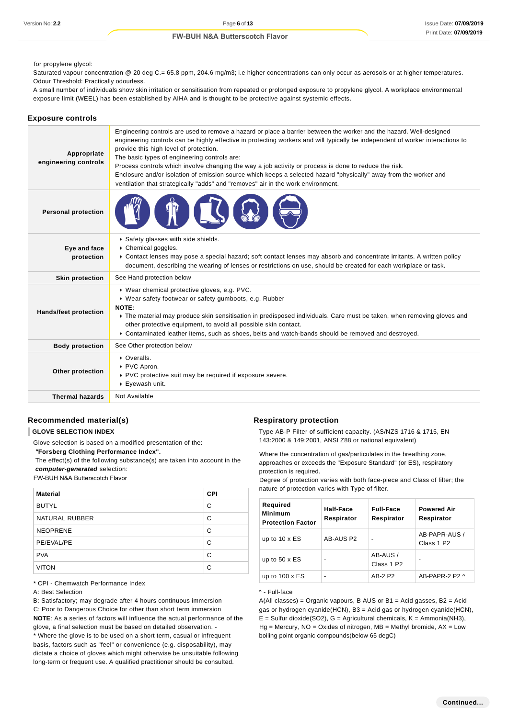for propylene glycol:

Saturated vapour concentration @ 20 deg C.= 65.8 ppm, 204.6 mg/m3; i.e higher concentrations can only occur as aerosols or at higher temperatures. Odour Threshold: Practically odourless.

A small number of individuals show skin irritation or sensitisation from repeated or prolonged exposure to propylene glycol. A workplace environmental exposure limit (WEEL) has been established by AIHA and is thought to be protective against systemic effects.

#### **Exposure controls**

| Appropriate<br>engineering controls | Engineering controls are used to remove a hazard or place a barrier between the worker and the hazard. Well-designed<br>engineering controls can be highly effective in protecting workers and will typically be independent of worker interactions to<br>provide this high level of protection.<br>The basic types of engineering controls are:<br>Process controls which involve changing the way a job activity or process is done to reduce the risk.<br>Enclosure and/or isolation of emission source which keeps a selected hazard "physically" away from the worker and<br>ventilation that strategically "adds" and "removes" air in the work environment. |
|-------------------------------------|--------------------------------------------------------------------------------------------------------------------------------------------------------------------------------------------------------------------------------------------------------------------------------------------------------------------------------------------------------------------------------------------------------------------------------------------------------------------------------------------------------------------------------------------------------------------------------------------------------------------------------------------------------------------|
| <b>Personal protection</b>          |                                                                                                                                                                                                                                                                                                                                                                                                                                                                                                                                                                                                                                                                    |
| Eye and face<br>protection          | Safety glasses with side shields.<br>Chemical goggles.<br>▶ Contact lenses may pose a special hazard; soft contact lenses may absorb and concentrate irritants. A written policy<br>document, describing the wearing of lenses or restrictions on use, should be created for each workplace or task.                                                                                                                                                                                                                                                                                                                                                               |
| <b>Skin protection</b>              | See Hand protection below                                                                                                                                                                                                                                                                                                                                                                                                                                                                                                                                                                                                                                          |
| <b>Hands/feet protection</b>        | ▶ Wear chemical protective gloves, e.g. PVC.<br>▶ Wear safety footwear or safety gumboots, e.g. Rubber<br><b>NOTE:</b><br>The material may produce skin sensitisation in predisposed individuals. Care must be taken, when removing gloves and<br>other protective equipment, to avoid all possible skin contact.<br>▶ Contaminated leather items, such as shoes, belts and watch-bands should be removed and destroyed.                                                                                                                                                                                                                                           |
| <b>Body protection</b>              | See Other protection below                                                                                                                                                                                                                                                                                                                                                                                                                                                                                                                                                                                                                                         |
| Other protection                    | • Overalls.<br>▶ PVC Apron.<br>▶ PVC protective suit may be required if exposure severe.<br>▶ Eyewash unit.                                                                                                                                                                                                                                                                                                                                                                                                                                                                                                                                                        |
| <b>Thermal hazards</b>              | Not Available                                                                                                                                                                                                                                                                                                                                                                                                                                                                                                                                                                                                                                                      |

### **Recommended material(s)**

#### **GLOVE SELECTION INDEX**

Glove selection is based on a modified presentation of the:

 **"Forsberg Clothing Performance Index".**

 The effect(s) of the following substance(s) are taken into account in the **computer-generated** selection:

FW-BUH N&A Butterscotch Flavor

| <b>Material</b> | <b>CPI</b> |
|-----------------|------------|
| <b>BUTYL</b>    | C          |
| NATURAL RUBBER  | C          |
| <b>NEOPRENE</b> | C          |
| PE/EVAL/PE      | С          |
| <b>PVA</b>      | C          |
| <b>VITON</b>    | C          |

\* CPI - Chemwatch Performance Index

A: Best Selection

B: Satisfactory; may degrade after 4 hours continuous immersion C: Poor to Dangerous Choice for other than short term immersion **NOTE**: As a series of factors will influence the actual performance of the glove, a final selection must be based on detailed observation. -

\* Where the glove is to be used on a short term, casual or infrequent basis, factors such as "feel" or convenience (e.g. disposability), may dictate a choice of gloves which might otherwise be unsuitable following long-term or frequent use. A qualified practitioner should be consulted.

#### **Respiratory protection**

Type AB-P Filter of sufficient capacity. (AS/NZS 1716 & 1715, EN 143:2000 & 149:2001, ANSI Z88 or national equivalent)

Where the concentration of gas/particulates in the breathing zone, approaches or exceeds the "Exposure Standard" (or ES), respiratory protection is required.

Degree of protection varies with both face-piece and Class of filter; the nature of protection varies with Type of filter.

| Required<br><b>Minimum</b><br><b>Protection Factor</b> | Half-Face<br>Respirator | <b>Full-Face</b><br>Respirator     | <b>Powered Air</b><br>Respirator        |
|--------------------------------------------------------|-------------------------|------------------------------------|-----------------------------------------|
| up to $10 \times ES$                                   | AB-AUS P2               |                                    | AB-PAPR-AUS /<br>Class 1 P <sub>2</sub> |
| up to $50 \times ES$                                   | $\blacksquare$          | AB-AUS /<br>Class 1 P <sub>2</sub> |                                         |
| up to $100 \times ES$                                  | $\blacksquare$          | AB-2 P2                            | AB-PAPR-2 P2 ^                          |

#### ^ - Full-face

 $A(All classes) = Organic vapours, B AUS or B1 = Acid gases, B2 = Acid$ gas or hydrogen cyanide(HCN), B3 = Acid gas or hydrogen cyanide(HCN),  $E =$  Sulfur dioxide(SO2), G = Agricultural chemicals, K = Ammonia(NH3),  $Hg =$  Mercury,  $NO =$  Oxides of nitrogen,  $MB =$  Methyl bromide,  $AX =$  Low boiling point organic compounds(below 65 degC)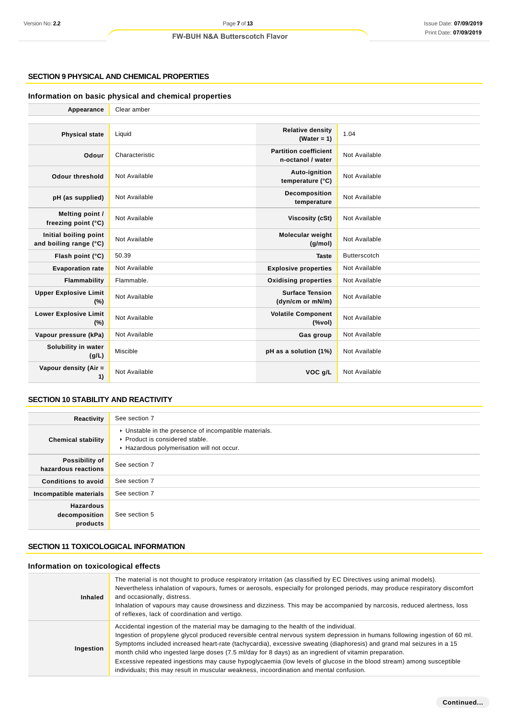### **SECTION 9 PHYSICAL AND CHEMICAL PROPERTIES**

# **Information on basic physical and chemical properties**

| Appearance                                      | Clear amber    |                                                                               |                     |
|-------------------------------------------------|----------------|-------------------------------------------------------------------------------|---------------------|
|                                                 |                |                                                                               |                     |
| <b>Physical state</b>                           | Liquid         | <b>Relative density</b><br>(Water = $1$ )                                     | 1.04                |
| Odour                                           | Characteristic | <b>Partition coefficient</b><br>n-octanol / water                             | Not Available       |
| <b>Odour threshold</b>                          | Not Available  | Auto-ignition<br>temperature (°C)                                             | Not Available       |
| pH (as supplied)                                | Not Available  | Decomposition<br>temperature                                                  | Not Available       |
| Melting point /<br>freezing point (°C)          | Not Available  | <b>Viscosity (cSt)</b>                                                        | Not Available       |
| Initial boiling point<br>and boiling range (°C) | Not Available  | Molecular weight<br>(g/mol)                                                   | Not Available       |
| Flash point (°C)                                | 50.39          | <b>Taste</b>                                                                  | <b>Butterscotch</b> |
| <b>Evaporation rate</b>                         | Not Available  | <b>Explosive properties</b>                                                   | Not Available       |
| Flammability                                    | Flammable.     | <b>Oxidising properties</b>                                                   | Not Available       |
| <b>Upper Explosive Limit</b><br>(%)             | Not Available  | <b>Surface Tension</b><br>(dyn/cm or mN/m)                                    | Not Available       |
| <b>Lower Explosive Limit</b><br>(%)             | Not Available  | <b>Volatile Component</b><br>$(% \mathcal{L}_{0}\rightarrow \mathcal{L}_{1})$ | Not Available       |
| Vapour pressure (kPa)                           | Not Available  | Gas group                                                                     | Not Available       |
| Solubility in water<br>(g/L)                    | Miscible       | pH as a solution (1%)                                                         | Not Available       |
| Vapour density (Air =<br>1)                     | Not Available  | VOC g/L                                                                       | Not Available       |
|                                                 |                |                                                                               |                     |

# **SECTION 10 STABILITY AND REACTIVITY**

| Reactivity                                    | See section 7                                                                                                                        |
|-----------------------------------------------|--------------------------------------------------------------------------------------------------------------------------------------|
| <b>Chemical stability</b>                     | • Unstable in the presence of incompatible materials.<br>▶ Product is considered stable.<br>Hazardous polymerisation will not occur. |
| Possibility of<br>hazardous reactions         | See section 7                                                                                                                        |
| <b>Conditions to avoid</b>                    | See section 7                                                                                                                        |
| Incompatible materials                        | See section 7                                                                                                                        |
| <b>Hazardous</b><br>decomposition<br>products | See section 5                                                                                                                        |

# **SECTION 11 TOXICOLOGICAL INFORMATION**

# **Information on toxicological effects**

| <b>Inhaled</b> | The material is not thought to produce respiratory irritation (as classified by EC Directives using animal models).<br>Nevertheless inhalation of vapours, fumes or aerosols, especially for prolonged periods, may produce respiratory discomfort<br>and occasionally, distress.<br>Inhalation of vapours may cause drowsiness and dizziness. This may be accompanied by narcosis, reduced alertness, loss<br>of reflexes, lack of coordination and vertigo.                                                                                                                                                                                                            |
|----------------|--------------------------------------------------------------------------------------------------------------------------------------------------------------------------------------------------------------------------------------------------------------------------------------------------------------------------------------------------------------------------------------------------------------------------------------------------------------------------------------------------------------------------------------------------------------------------------------------------------------------------------------------------------------------------|
| Ingestion      | Accidental ingestion of the material may be damaging to the health of the individual.<br>Ingestion of propylene glycol produced reversible central nervous system depression in humans following ingestion of 60 ml.<br>Symptoms included increased heart-rate (tachycardia), excessive sweating (diaphoresis) and grand mal seizures in a 15<br>month child who ingested large doses (7.5 ml/day for 8 days) as an ingredient of vitamin preparation.<br>Excessive repeated ingestions may cause hypoglycaemia (low levels of glucose in the blood stream) among susceptible<br>individuals; this may result in muscular weakness, incoordination and mental confusion. |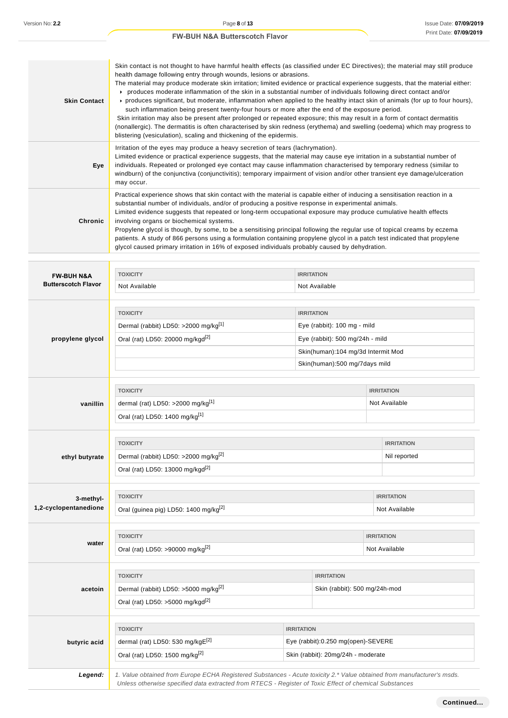|                       | Skin contact is not thought to have harmful health effects (as classified under EC Directives); the material may still produce<br>health damage following entry through wounds, lesions or abrasions.                                                                                                                                                                                                                                                                                                                                                                                                                                                                                                                                                                                                                         |                   |  |  |
|-----------------------|-------------------------------------------------------------------------------------------------------------------------------------------------------------------------------------------------------------------------------------------------------------------------------------------------------------------------------------------------------------------------------------------------------------------------------------------------------------------------------------------------------------------------------------------------------------------------------------------------------------------------------------------------------------------------------------------------------------------------------------------------------------------------------------------------------------------------------|-------------------|--|--|
| <b>Skin Contact</b>   | The material may produce moderate skin irritation; limited evidence or practical experience suggests, that the material either:<br>▶ produces moderate inflammation of the skin in a substantial number of individuals following direct contact and/or<br>▶ produces significant, but moderate, inflammation when applied to the healthy intact skin of animals (for up to four hours),<br>such inflammation being present twenty-four hours or more after the end of the exposure period.<br>Skin irritation may also be present after prolonged or repeated exposure; this may result in a form of contact dermatitis<br>(nonallergic). The dermatitis is often characterised by skin redness (erythema) and swelling (oedema) which may progress to<br>blistering (vesiculation), scaling and thickening of the epidermis. |                   |  |  |
| Eye                   | Irritation of the eyes may produce a heavy secretion of tears (lachrymation).<br>Limited evidence or practical experience suggests, that the material may cause eye irritation in a substantial number of<br>individuals. Repeated or prolonged eye contact may cause inflammation characterised by temporary redness (similar to<br>windburn) of the conjunctiva (conjunctivitis); temporary impairment of vision and/or other transient eye damage/ulceration<br>may occur.                                                                                                                                                                                                                                                                                                                                                 |                   |  |  |
| <b>Chronic</b>        | Practical experience shows that skin contact with the material is capable either of inducing a sensitisation reaction in a<br>substantial number of individuals, and/or of producing a positive response in experimental animals.<br>Limited evidence suggests that repeated or long-term occupational exposure may produce cumulative health effects<br>involving organs or biochemical systems.<br>Propylene glycol is though, by some, to be a sensitising principal following the regular use of topical creams by eczema<br>patients. A study of 866 persons using a formulation containing propylene glycol in a patch test indicated that propylene<br>glycol caused primary irritation in 16% of exposed individuals probably caused by dehydration.                                                                  |                   |  |  |
| <b>FW-BUH N&amp;A</b> | <b>TOXICITY</b>                                                                                                                                                                                                                                                                                                                                                                                                                                                                                                                                                                                                                                                                                                                                                                                                               | <b>IRRITATION</b> |  |  |

| <b>FW-BUH N&amp;A</b>      | <b>LOXICITY</b><br><b>IRRITATION</b>                                                                                   |                                    |                                    |                   |  |
|----------------------------|------------------------------------------------------------------------------------------------------------------------|------------------------------------|------------------------------------|-------------------|--|
| <b>Butterscotch Flavor</b> | Not Available                                                                                                          | Not Available                      |                                    |                   |  |
|                            |                                                                                                                        |                                    |                                    |                   |  |
|                            | <b>TOXICITY</b>                                                                                                        |                                    | <b>IRRITATION</b>                  |                   |  |
|                            | Dermal (rabbit) LD50: >2000 mg/kg <sup>[1]</sup>                                                                       |                                    | Eye (rabbit): 100 mg - mild        |                   |  |
| propylene glycol           | Oral (rat) LD50: 20000 mg/kgd <sup>[2]</sup>                                                                           |                                    | Eye (rabbit): 500 mg/24h - mild    |                   |  |
|                            |                                                                                                                        |                                    | Skin(human):104 mg/3d Intermit Mod |                   |  |
|                            |                                                                                                                        |                                    | Skin(human):500 mg/7days mild      |                   |  |
|                            | <b>TOXICITY</b>                                                                                                        |                                    |                                    | <b>IRRITATION</b> |  |
| vanillin                   | dermal (rat) LD50: >2000 mg/kg $[1]$                                                                                   |                                    |                                    | Not Available     |  |
|                            | Oral (rat) LD50: 1400 mg/kg <sup>[1]</sup>                                                                             |                                    |                                    |                   |  |
|                            |                                                                                                                        |                                    |                                    |                   |  |
|                            | <b>TOXICITY</b>                                                                                                        |                                    |                                    | <b>IRRITATION</b> |  |
| ethyl butyrate             | Dermal (rabbit) LD50: >2000 mg/kg <sup>[2]</sup>                                                                       |                                    |                                    | Nil reported      |  |
|                            | Oral (rat) LD50: 13000 mg/kgd <sup>[2]</sup>                                                                           |                                    |                                    |                   |  |
| 3-methyl-                  | <b>TOXICITY</b>                                                                                                        |                                    |                                    | <b>IRRITATION</b> |  |
| 1,2-cyclopentanedione      | Oral (guinea pig) LD50: 1400 mg/kg <sup>[2]</sup>                                                                      |                                    |                                    | Not Available     |  |
|                            |                                                                                                                        |                                    |                                    |                   |  |
| water                      | <b>TOXICITY</b>                                                                                                        |                                    |                                    | <b>IRRITATION</b> |  |
|                            | Oral (rat) LD50: >90000 mg/kg <sup>[2]</sup>                                                                           |                                    |                                    | Not Available     |  |
|                            | <b>TOXICITY</b>                                                                                                        | <b>IRRITATION</b>                  |                                    |                   |  |
| acetoin                    | Dermal (rabbit) LD50: >5000 mg/kg <sup>[2]</sup>                                                                       |                                    | Skin (rabbit): 500 mg/24h-mod      |                   |  |
|                            | Oral (rat) LD50: >5000 mg/kgd <sup>[2]</sup>                                                                           |                                    |                                    |                   |  |
|                            | <b>TOXICITY</b><br><b>IRRITATION</b>                                                                                   |                                    |                                    |                   |  |
|                            | dermal (rat) LD50: 530 mg/kgE <sup>[2]</sup>                                                                           | Eye (rabbit):0.250 mg(open)-SEVERE |                                    |                   |  |
| butyric acid               | Oral (rat) LD50: 1500 mg/kg[2]                                                                                         |                                    | Skin (rabbit): 20mg/24h - moderate |                   |  |
|                            |                                                                                                                        |                                    |                                    |                   |  |
| Legend:                    | 1. Value obtained from Europe ECHA Registered Substances - Acute toxicity 2.* Value obtained from manufacturer's msds. |                                    |                                    |                   |  |
|                            | Unless otherwise specified data extracted from RTECS - Register of Toxic Effect of chemical Substances                 |                                    |                                    |                   |  |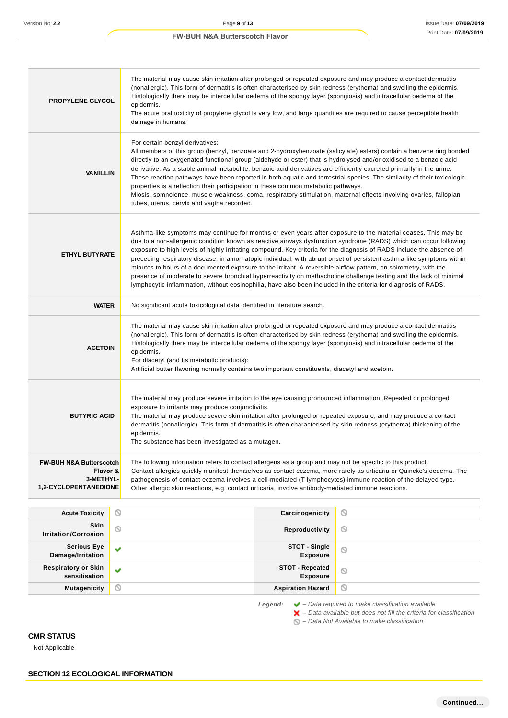| <b>PROPYLENE GLYCOL</b>                                                              | The material may cause skin irritation after prolonged or repeated exposure and may produce a contact dermatitis<br>(nonallergic). This form of dermatitis is often characterised by skin redness (erythema) and swelling the epidermis.<br>Histologically there may be intercellular oedema of the spongy layer (spongiosis) and intracellular oedema of the<br>epidermis.<br>The acute oral toxicity of propylene glycol is very low, and large quantities are required to cause perceptible health<br>damage in humans. |                                                                                                                                                                                                                                                                                                                                                                                                                                                                                                                                                                                                                                                                                                                                                                                                                                                  |                                                                        |  |
|--------------------------------------------------------------------------------------|----------------------------------------------------------------------------------------------------------------------------------------------------------------------------------------------------------------------------------------------------------------------------------------------------------------------------------------------------------------------------------------------------------------------------------------------------------------------------------------------------------------------------|--------------------------------------------------------------------------------------------------------------------------------------------------------------------------------------------------------------------------------------------------------------------------------------------------------------------------------------------------------------------------------------------------------------------------------------------------------------------------------------------------------------------------------------------------------------------------------------------------------------------------------------------------------------------------------------------------------------------------------------------------------------------------------------------------------------------------------------------------|------------------------------------------------------------------------|--|
| <b>VANILLIN</b>                                                                      | For certain benzyl derivatives:                                                                                                                                                                                                                                                                                                                                                                                                                                                                                            | All members of this group (benzyl, benzoate and 2-hydroxybenzoate (salicylate) esters) contain a benzene ring bonded<br>directly to an oxygenated functional group (aldehyde or ester) that is hydrolysed and/or oxidised to a benzoic acid<br>derivative. As a stable animal metabolite, benzoic acid derivatives are efficiently excreted primarily in the urine.<br>These reaction pathways have been reported in both aquatic and terrestrial species. The similarity of their toxicologic<br>properties is a reflection their participation in these common metabolic pathways.<br>Miosis, somnolence, muscle weakness, coma, respiratory stimulation, maternal effects involving ovaries, fallopian<br>tubes, uterus, cervix and vagina recorded.                                                                                          |                                                                        |  |
| <b>ETHYL BUTYRATE</b>                                                                |                                                                                                                                                                                                                                                                                                                                                                                                                                                                                                                            | Asthma-like symptoms may continue for months or even years after exposure to the material ceases. This may be<br>due to a non-allergenic condition known as reactive airways dysfunction syndrome (RADS) which can occur following<br>exposure to high levels of highly irritating compound. Key criteria for the diagnosis of RADS include the absence of<br>preceding respiratory disease, in a non-atopic individual, with abrupt onset of persistent asthma-like symptoms within<br>minutes to hours of a documented exposure to the irritant. A reversible airflow pattern, on spirometry, with the<br>presence of moderate to severe bronchial hyperreactivity on methacholine challenge testing and the lack of minimal<br>lymphocytic inflammation, without eosinophilia, have also been included in the criteria for diagnosis of RADS. |                                                                        |  |
| <b>WATER</b>                                                                         |                                                                                                                                                                                                                                                                                                                                                                                                                                                                                                                            | No significant acute toxicological data identified in literature search.                                                                                                                                                                                                                                                                                                                                                                                                                                                                                                                                                                                                                                                                                                                                                                         |                                                                        |  |
| <b>ACETOIN</b>                                                                       | epidermis.<br>For diacetyl (and its metabolic products):                                                                                                                                                                                                                                                                                                                                                                                                                                                                   | The material may cause skin irritation after prolonged or repeated exposure and may produce a contact dermatitis<br>(nonallergic). This form of dermatitis is often characterised by skin redness (erythema) and swelling the epidermis.<br>Histologically there may be intercellular oedema of the spongy layer (spongiosis) and intracellular oedema of the<br>Artificial butter flavoring normally contains two important constituents, diacetyl and acetoin.                                                                                                                                                                                                                                                                                                                                                                                 |                                                                        |  |
| <b>BUTYRIC ACID</b>                                                                  | The material may produce severe irritation to the eye causing pronounced inflammation. Repeated or prolonged<br>exposure to irritants may produce conjunctivitis.<br>The material may produce severe skin irritation after prolonged or repeated exposure, and may produce a contact<br>dermatitis (nonallergic). This form of dermatitis is often characterised by skin redness (erythema) thickening of the<br>epidermis.<br>The substance has been investigated as a mutagen.                                           |                                                                                                                                                                                                                                                                                                                                                                                                                                                                                                                                                                                                                                                                                                                                                                                                                                                  |                                                                        |  |
| <b>FW-BUH N&amp;A Butterscotch</b><br>Flavor &<br>3-METHYL-<br>1,2-CYCLOPENTANEDIONE | The following information refers to contact allergens as a group and may not be specific to this product.<br>Contact allergies quickly manifest themselves as contact eczema, more rarely as urticaria or Quincke's oedema. The<br>pathogenesis of contact eczema involves a cell-mediated (T lymphocytes) immune reaction of the delayed type.<br>Other allergic skin reactions, e.g. contact urticaria, involve antibody-mediated immune reactions.                                                                      |                                                                                                                                                                                                                                                                                                                                                                                                                                                                                                                                                                                                                                                                                                                                                                                                                                                  |                                                                        |  |
| <b>Acute Toxicity</b>                                                                | O                                                                                                                                                                                                                                                                                                                                                                                                                                                                                                                          | Carcinogenicity                                                                                                                                                                                                                                                                                                                                                                                                                                                                                                                                                                                                                                                                                                                                                                                                                                  | O                                                                      |  |
| Skin<br><b>Irritation/Corrosion</b>                                                  | $\circ$                                                                                                                                                                                                                                                                                                                                                                                                                                                                                                                    | Reproductivity                                                                                                                                                                                                                                                                                                                                                                                                                                                                                                                                                                                                                                                                                                                                                                                                                                   | O                                                                      |  |
| <b>Serious Eye</b><br>Damage/Irritation                                              | v                                                                                                                                                                                                                                                                                                                                                                                                                                                                                                                          | STOT - Single<br><b>Exposure</b>                                                                                                                                                                                                                                                                                                                                                                                                                                                                                                                                                                                                                                                                                                                                                                                                                 | Q                                                                      |  |
| <b>Respiratory or Skin</b><br>sensitisation                                          | v                                                                                                                                                                                                                                                                                                                                                                                                                                                                                                                          | <b>STOT - Repeated</b><br><b>Exposure</b>                                                                                                                                                                                                                                                                                                                                                                                                                                                                                                                                                                                                                                                                                                                                                                                                        | $\circ$                                                                |  |
| <b>Mutagenicity</b>                                                                  | O                                                                                                                                                                                                                                                                                                                                                                                                                                                                                                                          | <b>Aspiration Hazard</b>                                                                                                                                                                                                                                                                                                                                                                                                                                                                                                                                                                                                                                                                                                                                                                                                                         | O                                                                      |  |
|                                                                                      |                                                                                                                                                                                                                                                                                                                                                                                                                                                                                                                            | Legend:                                                                                                                                                                                                                                                                                                                                                                                                                                                                                                                                                                                                                                                                                                                                                                                                                                          | $\blacktriangleright$ - Data required to make classification available |  |

– Data available but does not fill the criteria for classification

– Data Not Available to make classification

# **CMR STATUS**

Not Applicable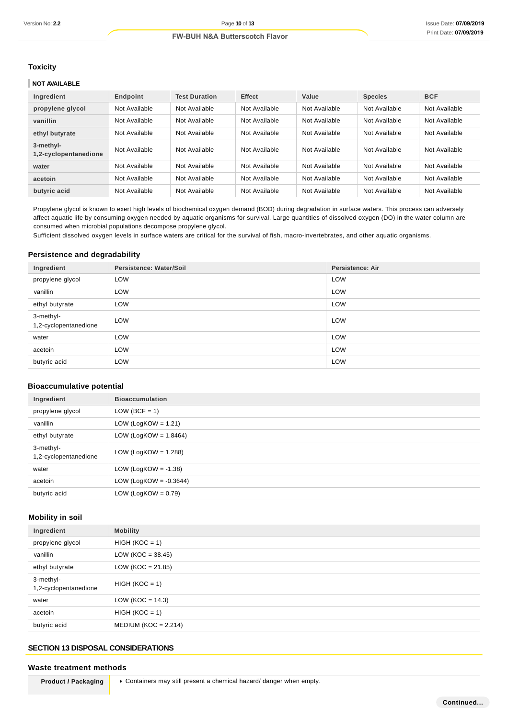#### **Toxicity**

## **NOT AVAILABLE**

| Ingredient                         | Endpoint      | <b>Test Duration</b> | <b>Effect</b> | Value         | <b>Species</b> | <b>BCF</b>    |
|------------------------------------|---------------|----------------------|---------------|---------------|----------------|---------------|
| propylene glycol                   | Not Available | Not Available        | Not Available | Not Available | Not Available  | Not Available |
| vanillin                           | Not Available | Not Available        | Not Available | Not Available | Not Available  | Not Available |
| ethyl butyrate                     | Not Available | Not Available        | Not Available | Not Available | Not Available  | Not Available |
| 3-methyl-<br>1,2-cyclopentanedione | Not Available | Not Available        | Not Available | Not Available | Not Available  | Not Available |
| water                              | Not Available | Not Available        | Not Available | Not Available | Not Available  | Not Available |
| acetoin                            | Not Available | Not Available        | Not Available | Not Available | Not Available  | Not Available |
| butyric acid                       | Not Available | Not Available        | Not Available | Not Available | Not Available  | Not Available |

Propylene glycol is known to exert high levels of biochemical oxygen demand (BOD) during degradation in surface waters. This process can adversely affect aquatic life by consuming oxygen needed by aquatic organisms for survival. Large quantities of dissolved oxygen (DO) in the water column are consumed when microbial populations decompose propylene glycol.

Sufficient dissolved oxygen levels in surface waters are critical for the survival of fish, macro-invertebrates, and other aquatic organisms.

# **Persistence and degradability**

| Ingredient                         | Persistence: Water/Soil | <b>Persistence: Air</b> |
|------------------------------------|-------------------------|-------------------------|
| propylene glycol                   | LOW                     | LOW                     |
| vanillin                           | LOW                     | LOW                     |
| ethyl butyrate                     | LOW                     | LOW                     |
| 3-methyl-<br>1,2-cyclopentanedione | LOW                     | LOW                     |
| water                              | LOW                     | LOW                     |
| acetoin                            | LOW                     | LOW                     |
| butyric acid                       | LOW                     | LOW                     |

# **Bioaccumulative potential**

| Ingredient                         | <b>Bioaccumulation</b>    |
|------------------------------------|---------------------------|
| propylene glycol                   | $LOW (BCF = 1)$           |
| vanillin                           | LOW (LogKOW = $1.21$ )    |
| ethyl butyrate                     | LOW (LogKOW = $1.8464$ )  |
| 3-methyl-<br>1,2-cyclopentanedione | LOW (LogKOW = $1.288$ )   |
| water                              | LOW (LogKOW = $-1.38$ )   |
| acetoin                            | LOW (LogKOW = $-0.3644$ ) |
| butyric acid                       | LOW (LogKOW = $0.79$ )    |

# **Mobility in soil**

| Ingredient                         | <b>Mobility</b>        |
|------------------------------------|------------------------|
| propylene glycol                   | $HIGH (KOC = 1)$       |
| vanillin                           | $LOW (KOC = 38.45)$    |
| ethyl butyrate                     | LOW ( $KOC = 21.85$ )  |
| 3-methyl-<br>1,2-cyclopentanedione | $HIGH (KOC = 1)$       |
| water                              | LOW (KOC = $14.3$ )    |
| acetoin                            | $HIGH (KOC = 1)$       |
| butyric acid                       | $MEDIUM (KOC = 2.214)$ |

# **SECTION 13 DISPOSAL CONSIDERATIONS**

#### **Waste treatment methods**

**Product / Packaging | > Containers may still present a chemical hazard/ danger when empty.**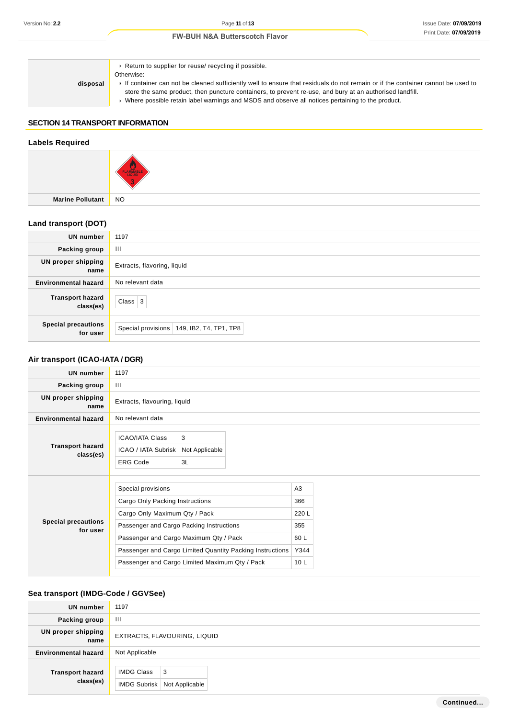# **disposal** Return to supplier for reuse/ recycling if possible. Otherwise: If container can not be cleaned sufficiently well to ensure that residuals do not remain or if the container cannot be used to store the same product, then puncture containers, to prevent re-use, and bury at an authorised landfill. Where possible retain label warnings and MSDS and observe all notices pertaining to the product.

## **SECTION 14 TRANSPORT INFORMATION**

# **Labels Required Marine Pollutant** NO **Land transport (DOT) UN number** 1197 **Packing group** III **UN proper shipping name** Extracts, flavoring, liquid **Environmental hazard** No relevant data **Transport hazard class(es)** Class  $3$ **Special precautions** Special provisions 149, IB2, T4, TP1, TP8

# **Air transport (ICAO-IATA / DGR)**

**for user**

| <b>UN number</b>                       | 1197                                                                                                                                                                         |                                   |
|----------------------------------------|------------------------------------------------------------------------------------------------------------------------------------------------------------------------------|-----------------------------------|
| Packing group                          | Ш                                                                                                                                                                            |                                   |
| <b>UN proper shipping</b><br>name      | Extracts, flavouring, liquid                                                                                                                                                 |                                   |
| <b>Environmental hazard</b>            | No relevant data                                                                                                                                                             |                                   |
| <b>Transport hazard</b><br>class(es)   | 3<br><b>ICAO/IATA Class</b><br>ICAO / IATA Subrisk<br>Not Applicable<br><b>ERG Code</b><br>3L                                                                                |                                   |
| <b>Special precautions</b><br>for user | Special provisions<br>Cargo Only Packing Instructions<br>Cargo Only Maximum Qty / Pack<br>Passenger and Cargo Packing Instructions<br>Passenger and Cargo Maximum Qty / Pack | A3<br>366<br>220 L<br>355<br>60 L |
|                                        | Passenger and Cargo Limited Quantity Packing Instructions                                                                                                                    | Y344                              |
|                                        | Passenger and Cargo Limited Maximum Qty / Pack                                                                                                                               | 10 <sub>L</sub>                   |

## **Sea transport (IMDG-Code / GGVSee)**

| <b>UN number</b>                     | 1197                                                    |
|--------------------------------------|---------------------------------------------------------|
| Packing group                        | Ш                                                       |
| <b>UN proper shipping</b><br>name    | EXTRACTS, FLAVOURING, LIQUID                            |
| <b>Environmental hazard</b>          | Not Applicable                                          |
| <b>Transport hazard</b><br>class(es) | <b>IMDG Class</b><br>3<br>IMDG Subrisk   Not Applicable |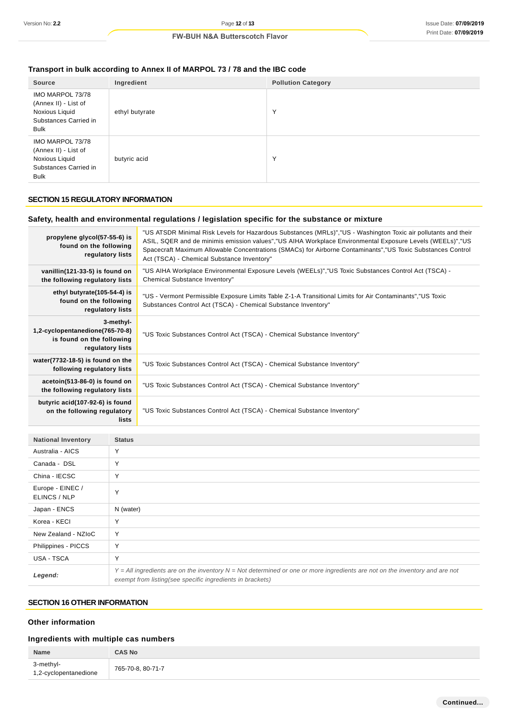# **Transport in bulk according to Annex II of MARPOL 73 / 78 and the IBC code**

| <b>Source</b>                                                                                      | Ingredient     | <b>Pollution Category</b> |
|----------------------------------------------------------------------------------------------------|----------------|---------------------------|
| IMO MARPOL 73/78<br>(Annex II) - List of<br>Noxious Liquid<br>Substances Carried in<br><b>Bulk</b> | ethyl butyrate | $\checkmark$              |
| IMO MARPOL 73/78<br>(Annex II) - List of<br>Noxious Liquid<br>Substances Carried in<br><b>Bulk</b> | butyric acid   | $\checkmark$              |

## **SECTION 15 REGULATORY INFORMATION**

# **Safety, health and environmental regulations / legislation specific for the substance or mixture**

| propylene glycol(57-55-6) is<br>found on the following<br>regulatory lists                    | "US ATSDR Minimal Risk Levels for Hazardous Substances (MRLs)","US - Washington Toxic air pollutants and their<br>ASIL, SQER and de minimis emission values","US AIHA Workplace Environmental Exposure Levels (WEELs)","US<br>Spacecraft Maximum Allowable Concentrations (SMACs) for Airborne Contaminants","US Toxic Substances Control<br>Act (TSCA) - Chemical Substance Inventory" |
|-----------------------------------------------------------------------------------------------|-----------------------------------------------------------------------------------------------------------------------------------------------------------------------------------------------------------------------------------------------------------------------------------------------------------------------------------------------------------------------------------------|
| vanillin(121-33-5) is found on<br>the following regulatory lists                              | "US AIHA Workplace Environmental Exposure Levels (WEELs)","US Toxic Substances Control Act (TSCA) -<br>Chemical Substance Inventory"                                                                                                                                                                                                                                                    |
| ethyl butyrate(105-54-4) is<br>found on the following<br>regulatory lists                     | "US - Vermont Permissible Exposure Limits Table Z-1-A Transitional Limits for Air Contaminants","US Toxic<br>Substances Control Act (TSCA) - Chemical Substance Inventory"                                                                                                                                                                                                              |
| 3-methyl-<br>1,2-cyclopentanedione(765-70-8)<br>is found on the following<br>regulatory lists | "US Toxic Substances Control Act (TSCA) - Chemical Substance Inventory"                                                                                                                                                                                                                                                                                                                 |
| water(7732-18-5) is found on the<br>following regulatory lists                                | "US Toxic Substances Control Act (TSCA) - Chemical Substance Inventory"                                                                                                                                                                                                                                                                                                                 |
| acetoin(513-86-0) is found on<br>the following regulatory lists                               | "US Toxic Substances Control Act (TSCA) - Chemical Substance Inventory"                                                                                                                                                                                                                                                                                                                 |
| butyric acid(107-92-6) is found<br>on the following regulatory<br>lists                       | "US Toxic Substances Control Act (TSCA) - Chemical Substance Inventory"                                                                                                                                                                                                                                                                                                                 |
|                                                                                               |                                                                                                                                                                                                                                                                                                                                                                                         |

| <b>National Inventory</b>        | <b>Status</b>                                                                                                                                                                                 |
|----------------------------------|-----------------------------------------------------------------------------------------------------------------------------------------------------------------------------------------------|
| Australia - AICS                 | Υ                                                                                                                                                                                             |
| Canada - DSL                     | Y                                                                                                                                                                                             |
| China - IECSC                    | Y                                                                                                                                                                                             |
| Europe - EINEC /<br>ELINCS / NLP | Y                                                                                                                                                                                             |
| Japan - ENCS                     | N (water)                                                                                                                                                                                     |
| Korea - KECI                     | Υ                                                                                                                                                                                             |
| New Zealand - NZIoC              | Y                                                                                                                                                                                             |
| Philippines - PICCS              | Y                                                                                                                                                                                             |
| USA - TSCA                       | Y                                                                                                                                                                                             |
| Legend:                          | $Y = All$ ingredients are on the inventory $N = Not$ determined or one or more ingredients are not on the inventory and are not<br>exempt from listing (see specific ingredients in brackets) |

# **SECTION 16 OTHER INFORMATION**

## **Other information**

# **Ingredients with multiple cas numbers**

| Name                               | <b>CAS No</b>     |
|------------------------------------|-------------------|
| 3-methyl-<br>1,2-cyclopentanedione | 765-70-8, 80-71-7 |